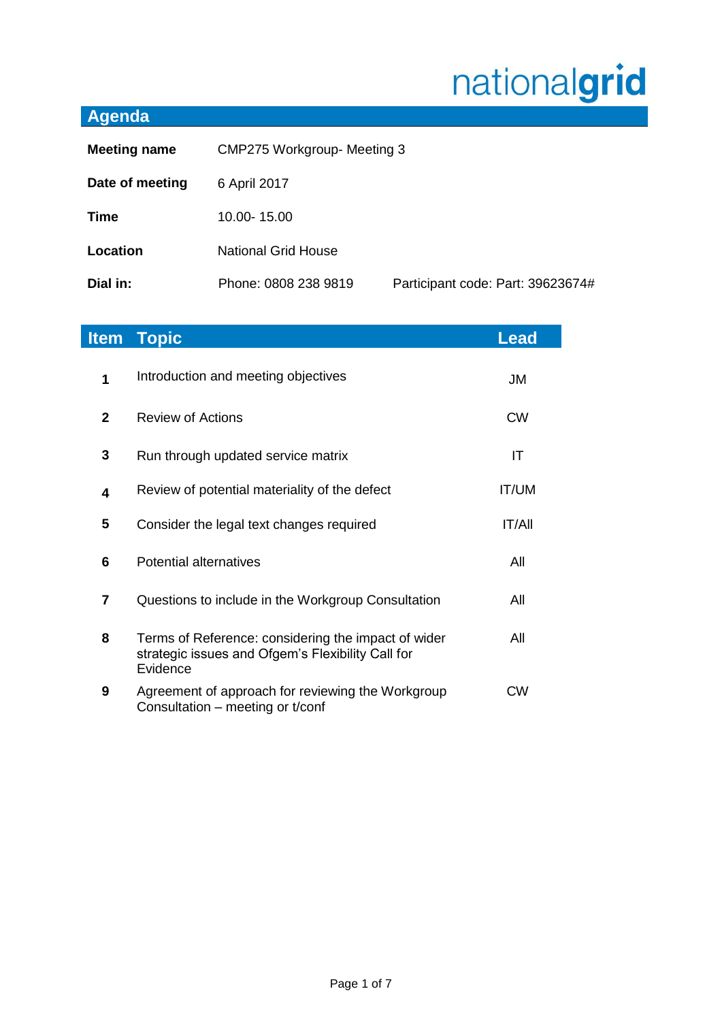# nationalgrid

# **Agenda**

| <b>Meeting name</b> | <b>CMP275 Workgroup- Meeting 3</b> |                                   |
|---------------------|------------------------------------|-----------------------------------|
| Date of meeting     | 6 April 2017                       |                                   |
| <b>Time</b>         | 10.00-15.00                        |                                   |
| Location            | <b>National Grid House</b>         |                                   |
| Dial in:            | Phone: 0808 238 9819               | Participant code: Part: 39623674# |

| <b>Item</b>    | <b>Topic</b>                                                                                                         | <b>Lead</b>  |
|----------------|----------------------------------------------------------------------------------------------------------------------|--------------|
| 1              | Introduction and meeting objectives                                                                                  | JM           |
| $\mathbf{2}$   | <b>Review of Actions</b>                                                                                             | <b>CW</b>    |
| 3              | Run through updated service matrix                                                                                   | IT           |
| 4              | Review of potential materiality of the defect                                                                        | <b>IT/UM</b> |
| 5              | Consider the legal text changes required                                                                             | IT/All       |
| 6              | <b>Potential alternatives</b>                                                                                        | All          |
| $\overline{7}$ | Questions to include in the Workgroup Consultation                                                                   | All          |
| 8              | Terms of Reference: considering the impact of wider<br>strategic issues and Ofgem's Flexibility Call for<br>Evidence | All          |
| 9              | Agreement of approach for reviewing the Workgroup<br>Consultation – meeting or t/conf                                | <b>CW</b>    |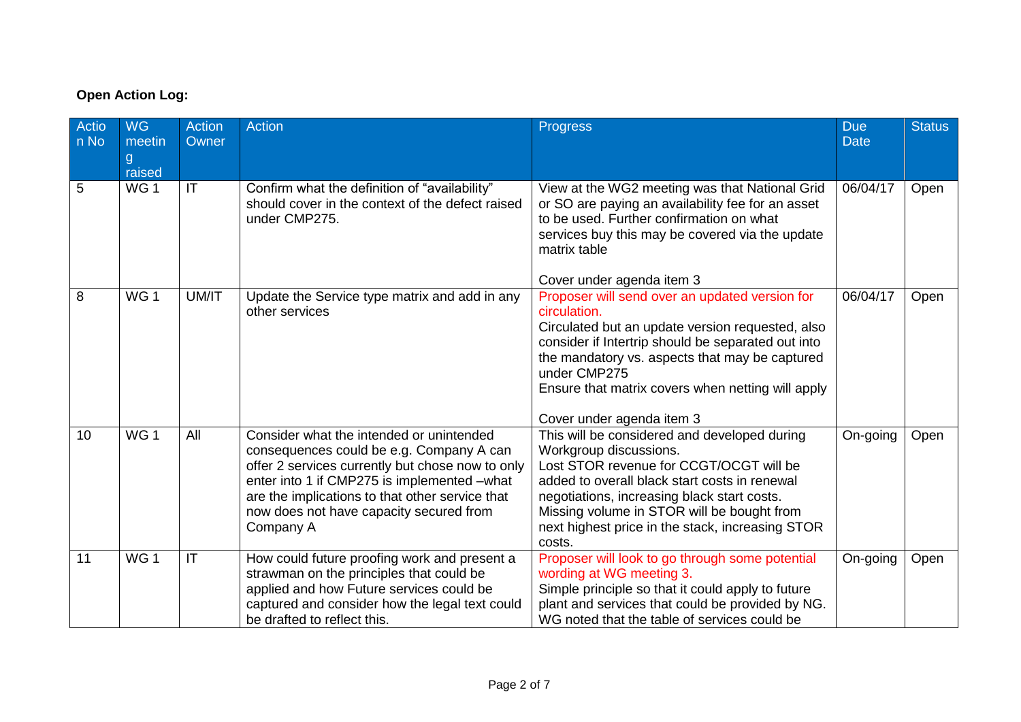# **Open Action Log:**

| Actio<br>n No | <b>WG</b><br>meetin | <b>Action</b><br>Owner | <b>Action</b>                                                                                                                                                                                                                                                                                      | <b>Progress</b>                                                                                                                                                                                                                                                                                                               | <b>Due</b><br><b>Date</b> | <b>Status</b> |
|---------------|---------------------|------------------------|----------------------------------------------------------------------------------------------------------------------------------------------------------------------------------------------------------------------------------------------------------------------------------------------------|-------------------------------------------------------------------------------------------------------------------------------------------------------------------------------------------------------------------------------------------------------------------------------------------------------------------------------|---------------------------|---------------|
|               | g<br>raised         |                        |                                                                                                                                                                                                                                                                                                    |                                                                                                                                                                                                                                                                                                                               |                           |               |
| 5             | WG <sub>1</sub>     | $\mathsf{I}\mathsf{T}$ | Confirm what the definition of "availability"<br>should cover in the context of the defect raised<br>under CMP275.                                                                                                                                                                                 | View at the WG2 meeting was that National Grid<br>or SO are paying an availability fee for an asset<br>to be used. Further confirmation on what<br>services buy this may be covered via the update<br>matrix table<br>Cover under agenda item 3                                                                               | 06/04/17                  | Open          |
| 8             | WG <sub>1</sub>     | UM/IT                  | Update the Service type matrix and add in any<br>other services                                                                                                                                                                                                                                    | Proposer will send over an updated version for<br>circulation.<br>Circulated but an update version requested, also<br>consider if Intertrip should be separated out into<br>the mandatory vs. aspects that may be captured<br>under CMP275<br>Ensure that matrix covers when netting will apply<br>Cover under agenda item 3  | 06/04/17                  | Open          |
| 10            | WG <sub>1</sub>     | All                    | Consider what the intended or unintended<br>consequences could be e.g. Company A can<br>offer 2 services currently but chose now to only<br>enter into 1 if CMP275 is implemented -what<br>are the implications to that other service that<br>now does not have capacity secured from<br>Company A | This will be considered and developed during<br>Workgroup discussions.<br>Lost STOR revenue for CCGT/OCGT will be<br>added to overall black start costs in renewal<br>negotiations, increasing black start costs.<br>Missing volume in STOR will be bought from<br>next highest price in the stack, increasing STOR<br>costs. | On-going                  | Open          |
| 11            | WG <sub>1</sub>     | IT                     | How could future proofing work and present a<br>strawman on the principles that could be<br>applied and how Future services could be<br>captured and consider how the legal text could<br>be drafted to reflect this.                                                                              | Proposer will look to go through some potential<br>wording at WG meeting 3.<br>Simple principle so that it could apply to future<br>plant and services that could be provided by NG.<br>WG noted that the table of services could be                                                                                          | On-going                  | Open          |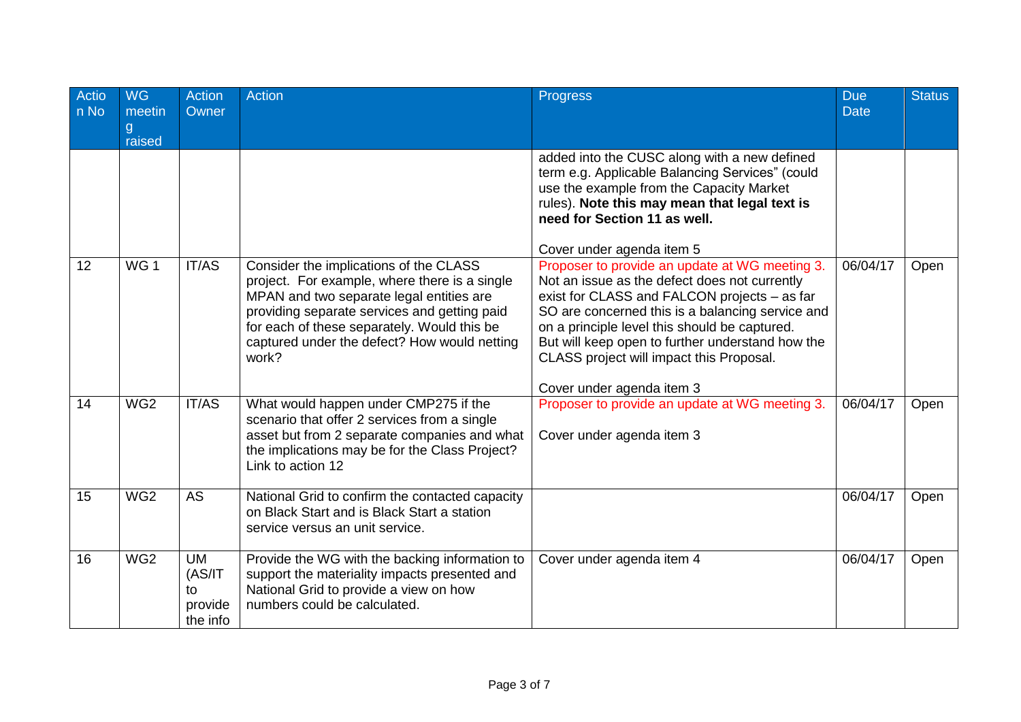| Actio<br>n No | <b>WG</b><br>meetin<br>g<br>raised | <b>Action</b><br>Owner                            | <b>Action</b>                                                                                                                                                                                                                                                                               | <b>Progress</b>                                                                                                                                                                                                                                                                                                                                                                   | <b>Due</b><br><b>Date</b> | <b>Status</b> |
|---------------|------------------------------------|---------------------------------------------------|---------------------------------------------------------------------------------------------------------------------------------------------------------------------------------------------------------------------------------------------------------------------------------------------|-----------------------------------------------------------------------------------------------------------------------------------------------------------------------------------------------------------------------------------------------------------------------------------------------------------------------------------------------------------------------------------|---------------------------|---------------|
|               |                                    |                                                   |                                                                                                                                                                                                                                                                                             | added into the CUSC along with a new defined<br>term e.g. Applicable Balancing Services" (could<br>use the example from the Capacity Market<br>rules). Note this may mean that legal text is<br>need for Section 11 as well.<br>Cover under agenda item 5                                                                                                                         |                           |               |
| 12            | WG <sub>1</sub>                    | IT/AS                                             | Consider the implications of the CLASS<br>project. For example, where there is a single<br>MPAN and two separate legal entities are<br>providing separate services and getting paid<br>for each of these separately. Would this be<br>captured under the defect? How would netting<br>work? | Proposer to provide an update at WG meeting 3.<br>Not an issue as the defect does not currently<br>exist for CLASS and FALCON projects - as far<br>SO are concerned this is a balancing service and<br>on a principle level this should be captured.<br>But will keep open to further understand how the<br>CLASS project will impact this Proposal.<br>Cover under agenda item 3 | 06/04/17                  | Open          |
| 14            | WG <sub>2</sub>                    | IT/AS                                             | What would happen under CMP275 if the<br>scenario that offer 2 services from a single<br>asset but from 2 separate companies and what<br>the implications may be for the Class Project?<br>Link to action 12                                                                                | Proposer to provide an update at WG meeting 3.<br>Cover under agenda item 3                                                                                                                                                                                                                                                                                                       | 06/04/17                  | Open          |
| 15            | WG2                                | <b>AS</b>                                         | National Grid to confirm the contacted capacity<br>on Black Start and is Black Start a station<br>service versus an unit service.                                                                                                                                                           |                                                                                                                                                                                                                                                                                                                                                                                   | 06/04/17                  | Open          |
| 16            | WG2                                | <b>UM</b><br>(AS/IT)<br>to<br>provide<br>the info | Provide the WG with the backing information to<br>support the materiality impacts presented and<br>National Grid to provide a view on how<br>numbers could be calculated.                                                                                                                   | Cover under agenda item 4                                                                                                                                                                                                                                                                                                                                                         | 06/04/17                  | Open          |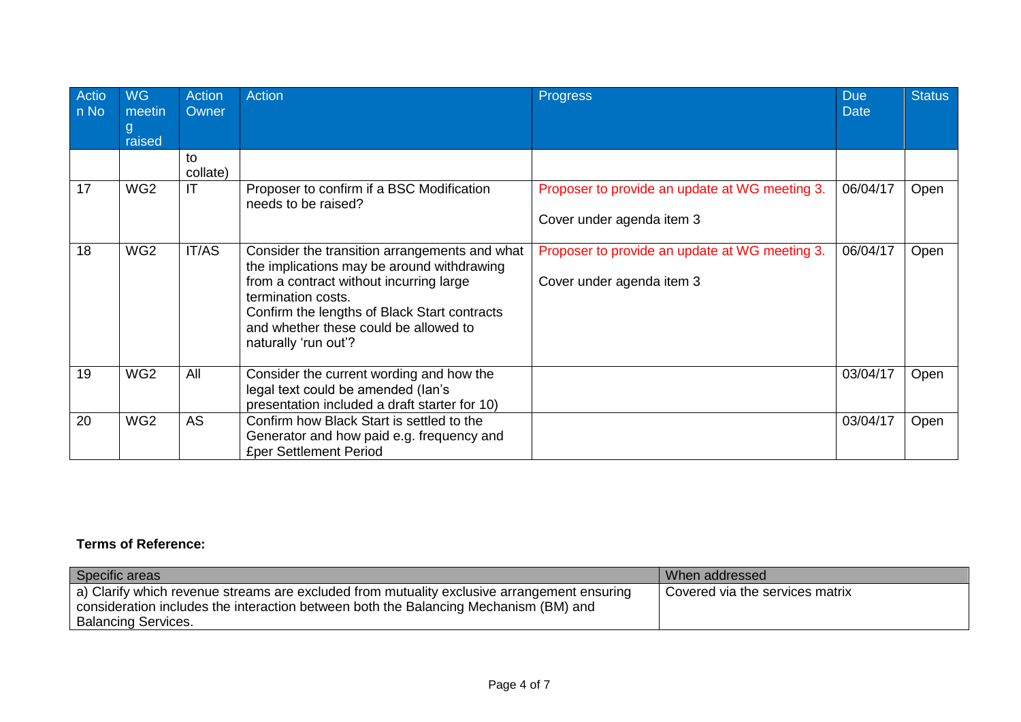| Actio<br>n No | <b>WG</b><br>meetin<br>g<br>raised | <b>Action</b><br>Owner | <b>Action</b>                                                                                                                                                                                                                                                                 | <b>Progress</b>                                                             | <b>Due</b><br><b>Date</b> | <b>Status</b> |
|---------------|------------------------------------|------------------------|-------------------------------------------------------------------------------------------------------------------------------------------------------------------------------------------------------------------------------------------------------------------------------|-----------------------------------------------------------------------------|---------------------------|---------------|
|               |                                    | to<br>collate)         |                                                                                                                                                                                                                                                                               |                                                                             |                           |               |
| 17            | WG <sub>2</sub>                    | IT                     | Proposer to confirm if a BSC Modification<br>needs to be raised?                                                                                                                                                                                                              | Proposer to provide an update at WG meeting 3.<br>Cover under agenda item 3 | 06/04/17                  | Open          |
| 18            | WG <sub>2</sub>                    | IT/AS                  | Consider the transition arrangements and what<br>the implications may be around withdrawing<br>from a contract without incurring large<br>termination costs.<br>Confirm the lengths of Black Start contracts<br>and whether these could be allowed to<br>naturally 'run out'? | Proposer to provide an update at WG meeting 3.<br>Cover under agenda item 3 | 06/04/17                  | Open          |
| 19            | WG <sub>2</sub>                    | All                    | Consider the current wording and how the<br>legal text could be amended (lan's<br>presentation included a draft starter for 10)                                                                                                                                               |                                                                             | 03/04/17                  | Open          |
| 20            | WG <sub>2</sub>                    | <b>AS</b>              | Confirm how Black Start is settled to the<br>Generator and how paid e.g. frequency and<br><b>£per Settlement Period</b>                                                                                                                                                       |                                                                             | 03/04/17                  | Open          |

## **Terms of Reference:**

| Specific areas                                                                                                                                                                                                    | Uwhen addressed                 |
|-------------------------------------------------------------------------------------------------------------------------------------------------------------------------------------------------------------------|---------------------------------|
| a) Clarify which revenue streams are excluded from mutuality exclusive arrangement ensuring<br>consideration includes the interaction between both the Balancing Mechanism (BM) and<br><b>Balancing Services.</b> | Covered via the services matrix |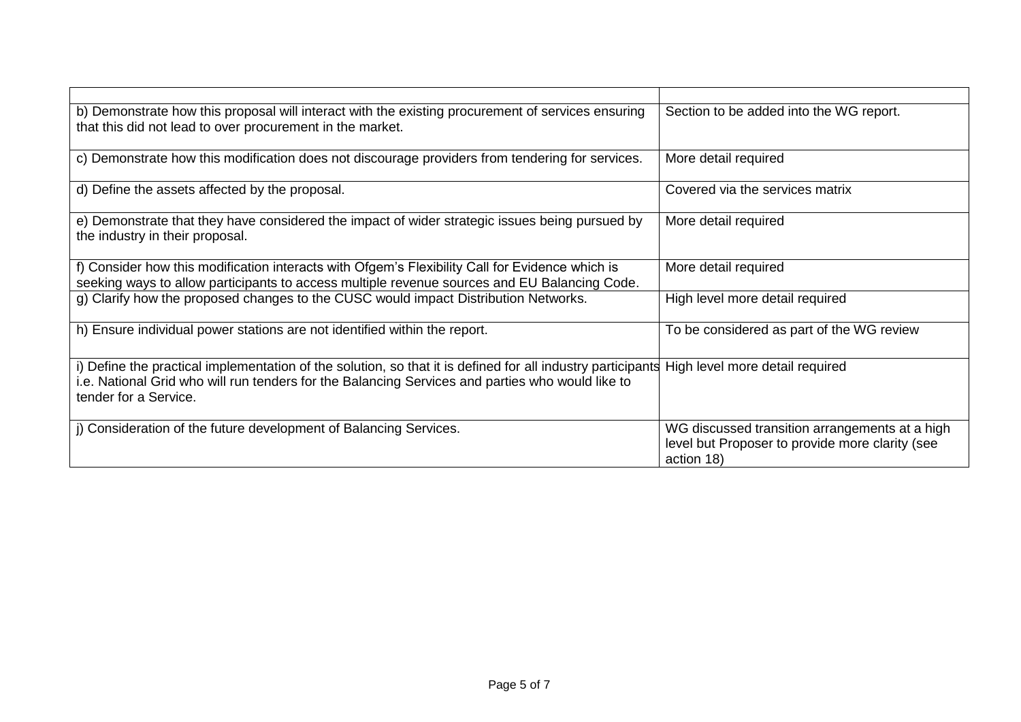| b) Demonstrate how this proposal will interact with the existing procurement of services ensuring<br>that this did not lead to over procurement in the market.                                                                           | Section to be added into the WG report.                                                                         |
|------------------------------------------------------------------------------------------------------------------------------------------------------------------------------------------------------------------------------------------|-----------------------------------------------------------------------------------------------------------------|
| c) Demonstrate how this modification does not discourage providers from tendering for services.                                                                                                                                          | More detail required                                                                                            |
| d) Define the assets affected by the proposal.                                                                                                                                                                                           | Covered via the services matrix                                                                                 |
| e) Demonstrate that they have considered the impact of wider strategic issues being pursued by<br>the industry in their proposal.                                                                                                        | More detail required                                                                                            |
| f) Consider how this modification interacts with Ofgem's Flexibility Call for Evidence which is<br>seeking ways to allow participants to access multiple revenue sources and EU Balancing Code.                                          | More detail required                                                                                            |
| g) Clarify how the proposed changes to the CUSC would impact Distribution Networks.                                                                                                                                                      | High level more detail required                                                                                 |
| h) Ensure individual power stations are not identified within the report.                                                                                                                                                                | To be considered as part of the WG review                                                                       |
| i) Define the practical implementation of the solution, so that it is defined for all industry participants<br>i.e. National Grid who will run tenders for the Balancing Services and parties who would like to<br>tender for a Service. | High level more detail required                                                                                 |
| j) Consideration of the future development of Balancing Services.                                                                                                                                                                        | WG discussed transition arrangements at a high<br>level but Proposer to provide more clarity (see<br>action 18) |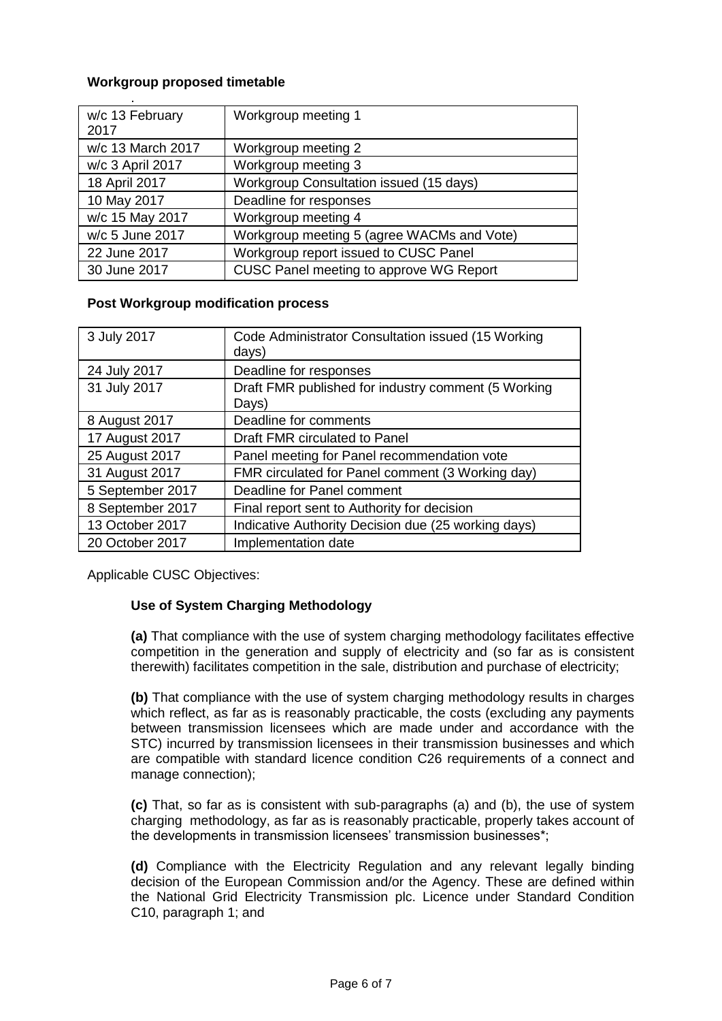#### **Workgroup proposed timetable**

| w/c 13 February   | Workgroup meeting 1                        |
|-------------------|--------------------------------------------|
| 2017              |                                            |
| w/c 13 March 2017 | Workgroup meeting 2                        |
| w/c 3 April 2017  | Workgroup meeting 3                        |
| 18 April 2017     | Workgroup Consultation issued (15 days)    |
| 10 May 2017       | Deadline for responses                     |
| w/c 15 May 2017   | Workgroup meeting 4                        |
| w/c 5 June 2017   | Workgroup meeting 5 (agree WACMs and Vote) |
| 22 June 2017      | Workgroup report issued to CUSC Panel      |
| 30 June 2017      | CUSC Panel meeting to approve WG Report    |

#### **Post Workgroup modification process**

| 3 July 2017      | Code Administrator Consultation issued (15 Working<br>days)  |
|------------------|--------------------------------------------------------------|
| 24 July 2017     | Deadline for responses                                       |
| 31 July 2017     | Draft FMR published for industry comment (5 Working<br>Days) |
| 8 August 2017    | Deadline for comments                                        |
| 17 August 2017   | Draft FMR circulated to Panel                                |
| 25 August 2017   | Panel meeting for Panel recommendation vote                  |
| 31 August 2017   | FMR circulated for Panel comment (3 Working day)             |
| 5 September 2017 | Deadline for Panel comment                                   |
| 8 September 2017 | Final report sent to Authority for decision                  |
| 13 October 2017  | Indicative Authority Decision due (25 working days)          |
| 20 October 2017  | Implementation date                                          |

Applicable CUSC Objectives:

### **Use of System Charging Methodology**

**(a)** That compliance with the use of system charging methodology facilitates effective competition in the generation and supply of electricity and (so far as is consistent therewith) facilitates competition in the sale, distribution and purchase of electricity;

**(b)** That compliance with the use of system charging methodology results in charges which reflect, as far as is reasonably practicable, the costs (excluding any payments between transmission licensees which are made under and accordance with the STC) incurred by transmission licensees in their transmission businesses and which are compatible with standard licence condition C26 requirements of a connect and manage connection);

**(c)** That, so far as is consistent with sub-paragraphs (a) and (b), the use of system charging methodology, as far as is reasonably practicable, properly takes account of the developments in transmission licensees' transmission businesses\*;

**(d)** Compliance with the Electricity Regulation and any relevant legally binding decision of the European Commission and/or the Agency. These are defined within the National Grid Electricity Transmission plc. Licence under Standard Condition C10, paragraph 1; and